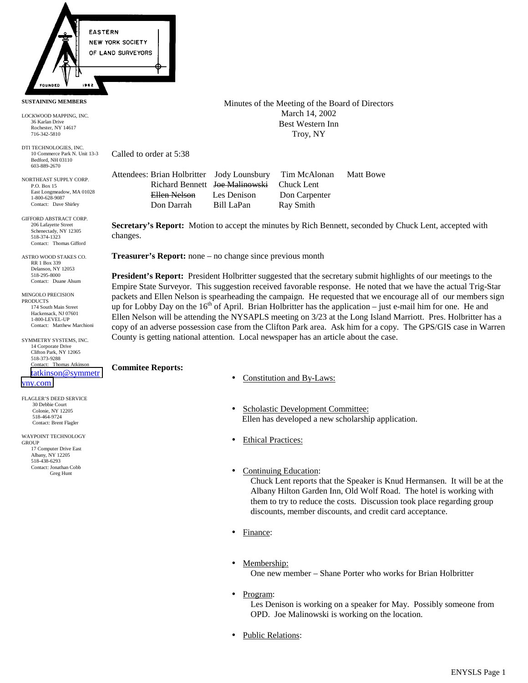

**SUSTAINING MEMBERS**

LOCKWOOD MAPPING, INC. 36 Karlan Drive Rochester, NY 14617 716-342-5810

DTI TECHNOLOGIES, INC. 10 Commerce Park N. Unit 13-3 Bedford, NH 03110 603-889-2670

NORTHEAST SUPPLY CORP. P.O. Box 15 East Longmeadow, MA 01028 1-800-628-9087 Contact: Dave Shirley

GIFFORD ABSTRACT CORP. 206 Lafayette Street Schenectady, NY 12305 518-374-1323 Contact: Thomas Gifford

ASTRO WOOD STAKES CO. RR 1 Box 339 Delanson, NY 12053 518-295-8000 Contact: Duane Alsum

MINGOLO PRECISION PRODUCTS 174 South Main Street Hackensack, NJ 07601 1-800-LEVEL-UP Contact: Matthew Marchioni

**SYMMETRY SYSTEMS, INC.** 14 Corporate Drive Clifton Park, NY 12065 518-373-9288 Contact: Thomas Atkinson [tatkinson@symmetr](mailto:tatkinson@symmetryny.com)

[yny.com](mailto:tatkinson@symmetryny.com)

FLAGLER'S DEED SERVICE 30 Debbie Court Colonie, NY 12205 518-464-9724 Contact: Brent Flagler

WAYPOINT TECHNOLOGY **GROUP**  17 Computer Drive East Albany, NY 12205 518-438-6293 Contact: Jonathan Cobb Greg Hunt

Minutes of the Meeting of the Board of Directors March 14, 2002 Best Western Inn Troy, NY

Called to order at 5:38

Attendees: Brian Holbritter Jody Lounsbury Tim McAlonan Matt Bowe Richard Bennett Joe Malinowski Chuck Lent Ellen Nelson Les Denison Don Carpenter Don Darrah Bill LaPan Ray Smith

**Secretary's Report:** Motion to accept the minutes by Rich Bennett, seconded by Chuck Lent, accepted with changes.

**Treasurer's Report:** none – no change since previous month

**President's Report:** President Holbritter suggested that the secretary submit highlights of our meetings to the Empire State Surveyor. This suggestion received favorable response. He noted that we have the actual Trig-Star packets and Ellen Nelson is spearheading the campaign. He requested that we encourage all of our members sign up for Lobby Day on the  $16<sup>th</sup>$  of April. Brian Holbritter has the application – just e-mail him for one. He and Ellen Nelson will be attending the NYSAPLS meeting on 3/23 at the Long Island Marriott. Pres. Holbritter has a copy of an adverse possession case from the Clifton Park area. Ask him for a copy. The GPS/GIS case in Warren County is getting national attention. Local newspaper has an article about the case.

**Commitee Reports:**

- Constitution and By-Laws:
- Scholastic Development Committee: Ellen has developed a new scholarship application.
- **Ethical Practices:**
- Continuing Education:

Chuck Lent reports that the Speaker is Knud Hermansen. It will be at the Albany Hilton Garden Inn, Old Wolf Road. The hotel is working with them to try to reduce the costs. Discussion took place regarding group discounts, member discounts, and credit card acceptance.

- Finance:
- Membership:

One new member – Shane Porter who works for Brian Holbritter

• Program:

Les Denison is working on a speaker for May. Possibly someone from OPD. Joe Malinowski is working on the location.

• Public Relations: